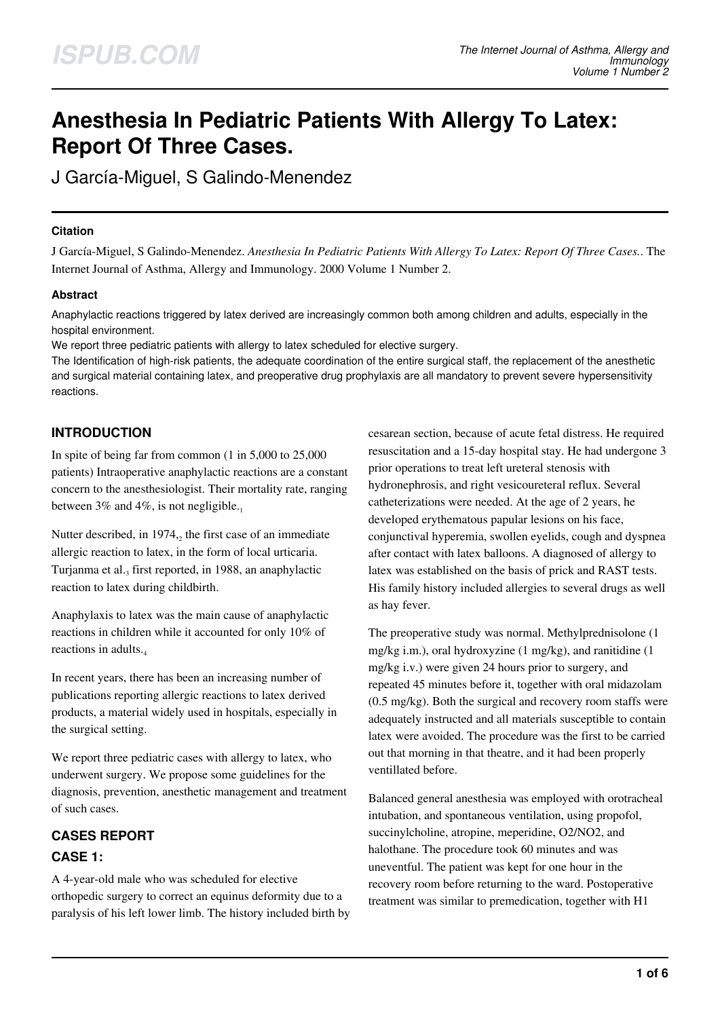# **Anesthesia In Pediatric Patients With Allergy To Latex: Report Of Three Cases.**

J García-Miguel, S Galindo-Menendez

#### **Citation**

J García-Miguel, S Galindo-Menendez. *Anesthesia In Pediatric Patients With Allergy To Latex: Report Of Three Cases.*. The Internet Journal of Asthma, Allergy and Immunology. 2000 Volume 1 Number 2.

## **Abstract**

Anaphylactic reactions triggered by latex derived are increasingly common both among children and adults, especially in the hospital environment.

We report three pediatric patients with allergy to latex scheduled for elective surgery.

The Identification of high-risk patients, the adequate coordination of the entire surgical staff, the replacement of the anesthetic and surgical material containing latex, and preoperative drug prophylaxis are all mandatory to prevent severe hypersensitivity reactions.

# **INTRODUCTION**

In spite of being far from common (1 in 5,000 to 25,000 patients) Intraoperative anaphylactic reactions are a constant concern to the anesthesiologist. Their mortality rate, ranging between 3% and 4%, is not negligible. $_1$ 

Nutter described, in  $1974$ , the first case of an immediate allergic reaction to latex, in the form of local urticaria. Turjanma et al.<sub>3</sub> first reported, in 1988, an anaphylactic reaction to latex during childbirth.

Anaphylaxis to latex was the main cause of anaphylactic reactions in children while it accounted for only 10% of reactions in adults.<sub>4</sub>

In recent years, there has been an increasing number of publications reporting allergic reactions to latex derived products, a material widely used in hospitals, especially in the surgical setting.

We report three pediatric cases with allergy to latex, who underwent surgery. We propose some guidelines for the diagnosis, prevention, anesthetic management and treatment of such cases.

# **CASES REPORT**

# **CASE 1:**

A 4-year-old male who was scheduled for elective orthopedic surgery to correct an equinus deformity due to a paralysis of his left lower limb. The history included birth by cesarean section, because of acute fetal distress. He required resuscitation and a 15-day hospital stay. He had undergone 3 prior operations to treat left ureteral stenosis with hydronephrosis, and right vesicoureteral reflux. Several catheterizations were needed. At the age of 2 years, he developed erythematous papular lesions on his face, conjunctival hyperemia, swollen eyelids, cough and dyspnea after contact with latex balloons. A diagnosed of allergy to latex was established on the basis of prick and RAST tests. His family history included allergies to several drugs as well as hay fever.

The preoperative study was normal. Methylprednisolone (1 mg/kg i.m.), oral hydroxyzine (1 mg/kg), and ranitidine (1 mg/kg i.v.) were given 24 hours prior to surgery, and repeated 45 minutes before it, together with oral midazolam (0.5 mg/kg). Both the surgical and recovery room staffs were adequately instructed and all materials susceptible to contain latex were avoided. The procedure was the first to be carried out that morning in that theatre, and it had been properly ventillated before.

Balanced general anesthesia was employed with orotracheal intubation, and spontaneous ventilation, using propofol, succinylcholine, atropine, meperidine, O2/NO2, and halothane. The procedure took 60 minutes and was uneventful. The patient was kept for one hour in the recovery room before returning to the ward. Postoperative treatment was similar to premedication, together with H1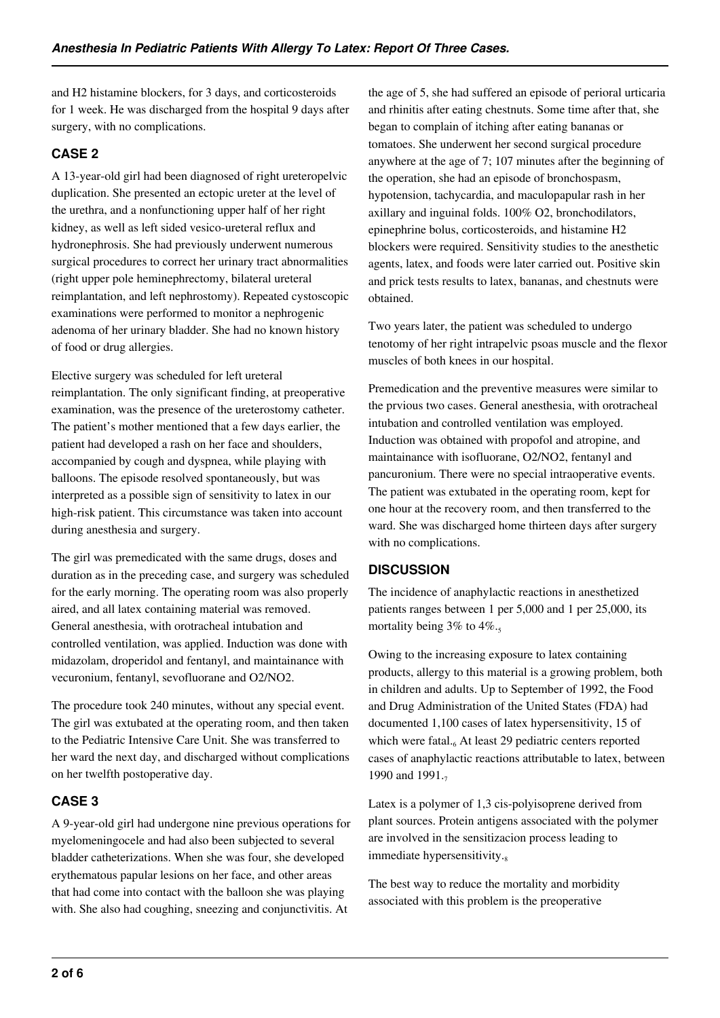and H2 histamine blockers, for 3 days, and corticosteroids for 1 week. He was discharged from the hospital 9 days after surgery, with no complications.

## **CASE 2**

A 13-year-old girl had been diagnosed of right ureteropelvic duplication. She presented an ectopic ureter at the level of the urethra, and a nonfunctioning upper half of her right kidney, as well as left sided vesico-ureteral reflux and hydronephrosis. She had previously underwent numerous surgical procedures to correct her urinary tract abnormalities (right upper pole heminephrectomy, bilateral ureteral reimplantation, and left nephrostomy). Repeated cystoscopic examinations were performed to monitor a nephrogenic adenoma of her urinary bladder. She had no known history of food or drug allergies.

Elective surgery was scheduled for left ureteral reimplantation. The only significant finding, at preoperative examination, was the presence of the ureterostomy catheter. The patient's mother mentioned that a few days earlier, the patient had developed a rash on her face and shoulders, accompanied by cough and dyspnea, while playing with balloons. The episode resolved spontaneously, but was interpreted as a possible sign of sensitivity to latex in our high-risk patient. This circumstance was taken into account during anesthesia and surgery.

The girl was premedicated with the same drugs, doses and duration as in the preceding case, and surgery was scheduled for the early morning. The operating room was also properly aired, and all latex containing material was removed. General anesthesia, with orotracheal intubation and controlled ventilation, was applied. Induction was done with midazolam, droperidol and fentanyl, and maintainance with vecuronium, fentanyl, sevofluorane and O2/NO2.

The procedure took 240 minutes, without any special event. The girl was extubated at the operating room, and then taken to the Pediatric Intensive Care Unit. She was transferred to her ward the next day, and discharged without complications on her twelfth postoperative day.

## **CASE 3**

A 9-year-old girl had undergone nine previous operations for myelomeningocele and had also been subjected to several bladder catheterizations. When she was four, she developed erythematous papular lesions on her face, and other areas that had come into contact with the balloon she was playing with. She also had coughing, sneezing and conjunctivitis. At

the age of 5, she had suffered an episode of perioral urticaria and rhinitis after eating chestnuts. Some time after that, she began to complain of itching after eating bananas or tomatoes. She underwent her second surgical procedure anywhere at the age of 7; 107 minutes after the beginning of the operation, she had an episode of bronchospasm, hypotension, tachycardia, and maculopapular rash in her axillary and inguinal folds. 100% O2, bronchodilators, epinephrine bolus, corticosteroids, and histamine H2 blockers were required. Sensitivity studies to the anesthetic agents, latex, and foods were later carried out. Positive skin and prick tests results to latex, bananas, and chestnuts were obtained.

Two years later, the patient was scheduled to undergo tenotomy of her right intrapelvic psoas muscle and the flexor muscles of both knees in our hospital.

Premedication and the preventive measures were similar to the prvious two cases. General anesthesia, with orotracheal intubation and controlled ventilation was employed. Induction was obtained with propofol and atropine, and maintainance with isofluorane, O2/NO2, fentanyl and pancuronium. There were no special intraoperative events. The patient was extubated in the operating room, kept for one hour at the recovery room, and then transferred to the ward. She was discharged home thirteen days after surgery with no complications.

# **DISCUSSION**

The incidence of anaphylactic reactions in anesthetized patients ranges between 1 per 5,000 and 1 per 25,000, its mortality being  $3\%$  to  $4\%$ .

Owing to the increasing exposure to latex containing products, allergy to this material is a growing problem, both in children and adults. Up to September of 1992, the Food and Drug Administration of the United States (FDA) had documented 1,100 cases of latex hypersensitivity, 15 of which were fatal.<sub>6</sub> At least 29 pediatric centers reported cases of anaphylactic reactions attributable to latex, between 1990 and 1991.

Latex is a polymer of 1,3 cis-polyisoprene derived from plant sources. Protein antigens associated with the polymer are involved in the sensitizacion process leading to immediate hypersensitivity.

The best way to reduce the mortality and morbidity associated with this problem is the preoperative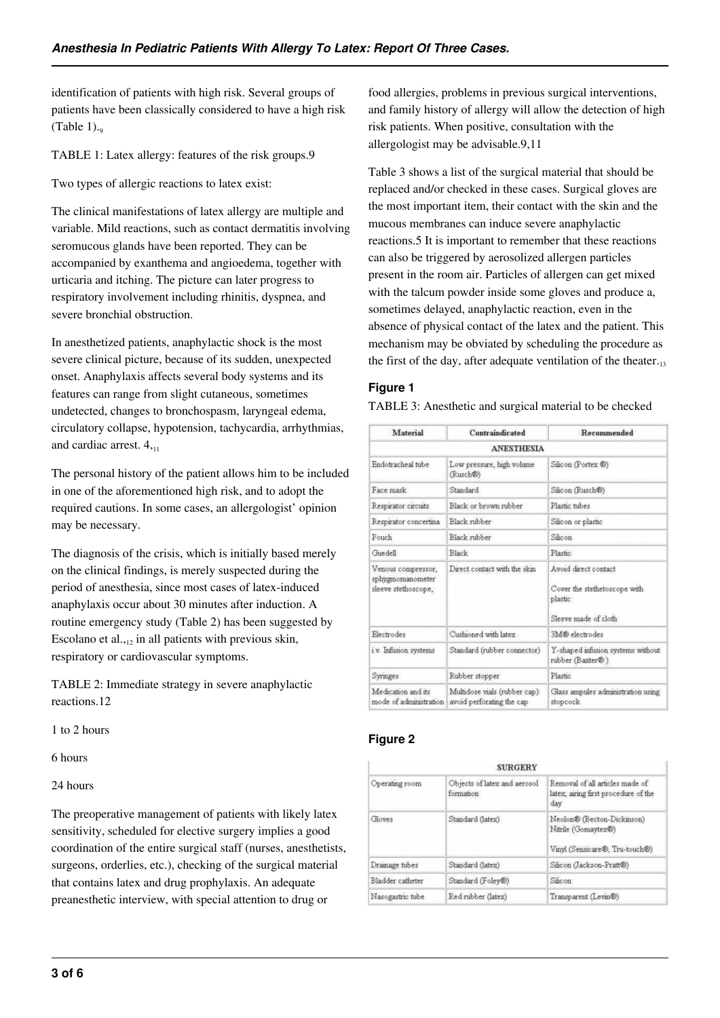identification of patients with high risk. Several groups of patients have been classically considered to have a high risk (Table  $1$ ).

TABLE 1: Latex allergy: features of the risk groups.9

Two types of allergic reactions to latex exist:

The clinical manifestations of latex allergy are multiple and variable. Mild reactions, such as contact dermatitis involving seromucous glands have been reported. They can be accompanied by exanthema and angioedema, together with urticaria and itching. The picture can later progress to respiratory involvement including rhinitis, dyspnea, and severe bronchial obstruction.

In anesthetized patients, anaphylactic shock is the most severe clinical picture, because of its sudden, unexpected onset. Anaphylaxis affects several body systems and its features can range from slight cutaneous, sometimes undetected, changes to bronchospasm, laryngeal edema, circulatory collapse, hypotension, tachycardia, arrhythmias, and cardiac arrest.  $4_{11}$ 

The personal history of the patient allows him to be included in one of the aforementioned high risk, and to adopt the required cautions. In some cases, an allergologist' opinion may be necessary.

The diagnosis of the crisis, which is initially based merely on the clinical findings, is merely suspected during the period of anesthesia, since most cases of latex-induced anaphylaxis occur about 30 minutes after induction. A routine emergency study (Table 2) has been suggested by Escolano et al., $_{12}$  in all patients with previous skin, respiratory or cardiovascular symptoms.

TABLE 2: Immediate strategy in severe anaphylactic reactions.12

1 to 2 hours

6 hours

24 hours

The preoperative management of patients with likely latex sensitivity, scheduled for elective surgery implies a good coordination of the entire surgical staff (nurses, anesthetists, surgeons, orderlies, etc.), checking of the surgical material that contains latex and drug prophylaxis. An adequate preanesthetic interview, with special attention to drug or

food allergies, problems in previous surgical interventions, and family history of allergy will allow the detection of high risk patients. When positive, consultation with the allergologist may be advisable.9,11

Table 3 shows a list of the surgical material that should be replaced and/or checked in these cases. Surgical gloves are the most important item, their contact with the skin and the mucous membranes can induce severe anaphylactic reactions.5 It is important to remember that these reactions can also be triggered by aerosolized allergen particles present in the room air. Particles of allergen can get mixed with the talcum powder inside some gloves and produce a, sometimes delayed, anaphylactic reaction, even in the absence of physical contact of the latex and the patient. This mechanism may be obviated by scheduling the procedure as the first of the day, after adequate ventilation of the theater. $_{13}$ 

#### **Figure 1**

TABLE 3: Anesthetic and surgical material to be checked

| Material                                                      | Contraindicated                                            | Recommended                                                                             |  |  |  |
|---------------------------------------------------------------|------------------------------------------------------------|-----------------------------------------------------------------------------------------|--|--|--|
| <b>ANESTHESIA</b>                                             |                                                            |                                                                                         |  |  |  |
| Endotracheal tube                                             | Low pressure, high volume<br>(Rusch®)                      | Silicon (Portex ®)                                                                      |  |  |  |
| Face mask                                                     | Standard                                                   | Silicon (Rusch®)                                                                        |  |  |  |
| Respirator circuits                                           | Black or brown rubber                                      | Plastic tubes                                                                           |  |  |  |
| Respirator concertina                                         | Black rubber                                               | Silicon or plastic                                                                      |  |  |  |
| Pouch                                                         | Black rubber                                               | Silicon                                                                                 |  |  |  |
| Guedell                                                       | <b>Black</b>                                               | <b>Plastic</b>                                                                          |  |  |  |
| Venous compressor.<br>sphygmomanometer<br>sleeve stethoscope, | Direct contact with the skin                               | Avoid direct contact<br>Cover the stethetoscope with<br>plastic<br>Sleeve made of cloth |  |  |  |
| Electrodes                                                    | Cushioned with latex                                       | 3M® electrodes                                                                          |  |  |  |
| i.v. Infusion systems                                         | Standard (rubber connector)                                | Y-shaped infusion systems without<br>rubber (Baxter®)                                   |  |  |  |
| Syringes                                                      | Rubber stopper                                             | Plastic                                                                                 |  |  |  |
| Medication and its<br>mode of administration.                 | Multidose vials (rubber cap):<br>avoid perforating the cap | Glass ampules administration using<br>stopcock                                          |  |  |  |

# **Figure 2**

| <b>SURGERY</b>   |                                           |                                                                                     |  |  |
|------------------|-------------------------------------------|-------------------------------------------------------------------------------------|--|--|
| Operating room   | Objects of latex and aerosol<br>formation | Removal of all articles made of<br>latex; airing first procedure of the<br>day      |  |  |
| Gloves           | Standard (latex)                          | Neolon® (Becton-Dickinson)<br>Nitrile (Gomaytex®)<br>Vinyl (Sensicare®, Tru-touch®) |  |  |
| Drainage tubes   | Standard (latex)                          | Silicon (Jackson-Pratt®)                                                            |  |  |
| Bladder catheter | Standard (Foley®)                         | Silicon                                                                             |  |  |
| Nasogastric tube | Red rubber (latex)                        | Transparent (Levin®)                                                                |  |  |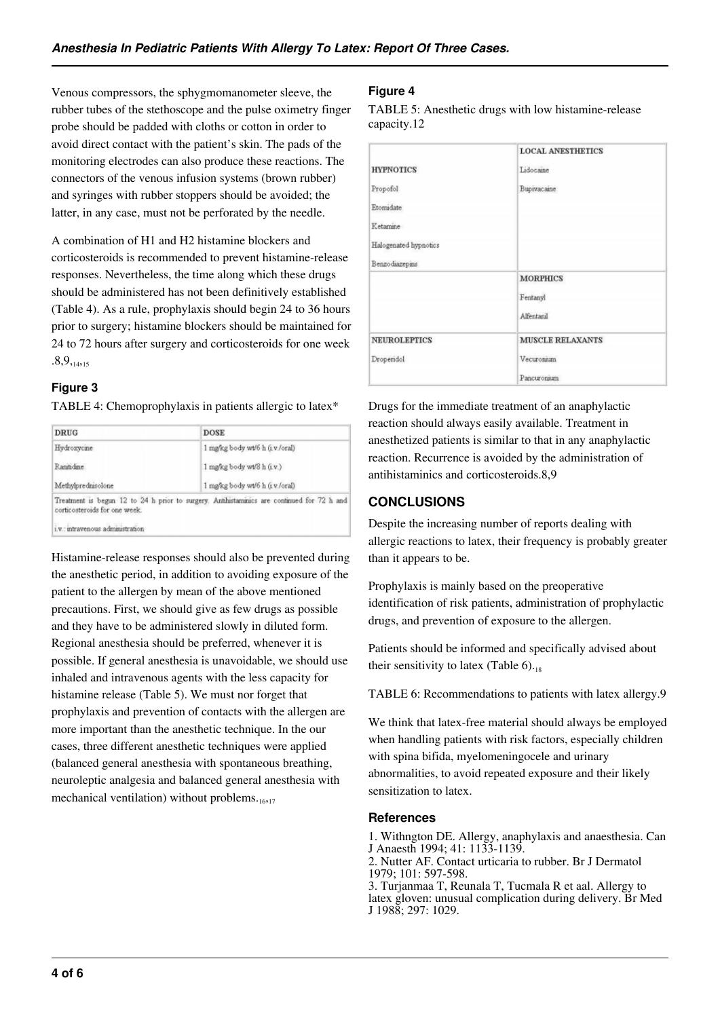Venous compressors, the sphygmomanometer sleeve, the rubber tubes of the stethoscope and the pulse oximetry finger probe should be padded with cloths or cotton in order to avoid direct contact with the patient's skin. The pads of the monitoring electrodes can also produce these reactions. The connectors of the venous infusion systems (brown rubber) and syringes with rubber stoppers should be avoided; the latter, in any case, must not be perforated by the needle.

A combination of H1 and H2 histamine blockers and corticosteroids is recommended to prevent histamine-release responses. Nevertheless, the time along which these drugs should be administered has not been definitively established (Table 4). As a rule, prophylaxis should begin 24 to 36 hours prior to surgery; histamine blockers should be maintained for 24 to 72 hours after surgery and corticosteroids for one week  $.8,9,_{14,15}$ 

## **Figure 3**

TABLE 4: Chemoprophylaxis in patients allergic to latex\*

| <b>DRUG</b>                                                       | <b>DOSE</b>                                                                                |
|-------------------------------------------------------------------|--------------------------------------------------------------------------------------------|
| Hydroxycine                                                       | 1 mg/kg body wt/6 h (1v/oral)                                                              |
| Rantidine.                                                        | $1$ mg/kg body wt/8 h $(i.v.)$                                                             |
| Methylprednisolone                                                | 1 mg/kg body wt/6 h (i.v./oral)                                                            |
| corticosteroids for one week.<br>i.v.: intravenous administration | Treatment is begun 12 to 24 h prior to surgery. Antihistaminics are continued for 72 h and |

Histamine-release responses should also be prevented during the anesthetic period, in addition to avoiding exposure of the patient to the allergen by mean of the above mentioned precautions. First, we should give as few drugs as possible and they have to be administered slowly in diluted form. Regional anesthesia should be preferred, whenever it is possible. If general anesthesia is unavoidable, we should use inhaled and intravenous agents with the less capacity for histamine release (Table 5). We must nor forget that prophylaxis and prevention of contacts with the allergen are more important than the anesthetic technique. In the our cases, three different anesthetic techniques were applied (balanced general anesthesia with spontaneous breathing, neuroleptic analgesia and balanced general anesthesia with mechanical ventilation) without problems. $_{16,17}$ 

## **Figure 4**

TABLE 5: Anesthetic drugs with low histamine-release capacity.12

|                       | <b>LOCAL ANESTHETICS</b> |  |
|-----------------------|--------------------------|--|
| <b>HYPNOTICS</b>      | Lidocaine                |  |
| Propofol              | <b>Bupivacaine</b>       |  |
| Etomidate             |                          |  |
| <b>Ketamine</b>       |                          |  |
| Halogenated hypnotics |                          |  |
| Benzodiazepins        |                          |  |
|                       | <b>MORPHICS</b>          |  |
|                       | Fentanyl                 |  |
|                       | Alfentanil               |  |
| <b>NEUROLEPTICS</b>   | MUSCLE RELAXANTS         |  |
| Droperidol            | Vecuronium               |  |
|                       | Pancuronsum              |  |

Drugs for the immediate treatment of an anaphylactic reaction should always easily available. Treatment in anesthetized patients is similar to that in any anaphylactic reaction. Recurrence is avoided by the administration of antihistaminics and corticosteroids.8,9

## **CONCLUSIONS**

Despite the increasing number of reports dealing with allergic reactions to latex, their frequency is probably greater than it appears to be.

Prophylaxis is mainly based on the preoperative identification of risk patients, administration of prophylactic drugs, and prevention of exposure to the allergen.

Patients should be informed and specifically advised about their sensitivity to latex (Table  $6$ ).<sub>18</sub>

TABLE 6: Recommendations to patients with latex allergy.9

We think that latex-free material should always be employed when handling patients with risk factors, especially children with spina bifida, myelomeningocele and urinary abnormalities, to avoid repeated exposure and their likely sensitization to latex.

#### **References**

1. Withngton DE. Allergy, anaphylaxis and anaesthesia. Can J Anaesth 1994; 41: 1133-1139.

2. Nutter AF. Contact urticaria to rubber. Br J Dermatol 1979; 101: 597-598.

3. Turjanmaa T, Reunala T, Tucmala R et aal. Allergy to latex gloven: unusual complication during delivery. Br Med J 1988; 297: 1029.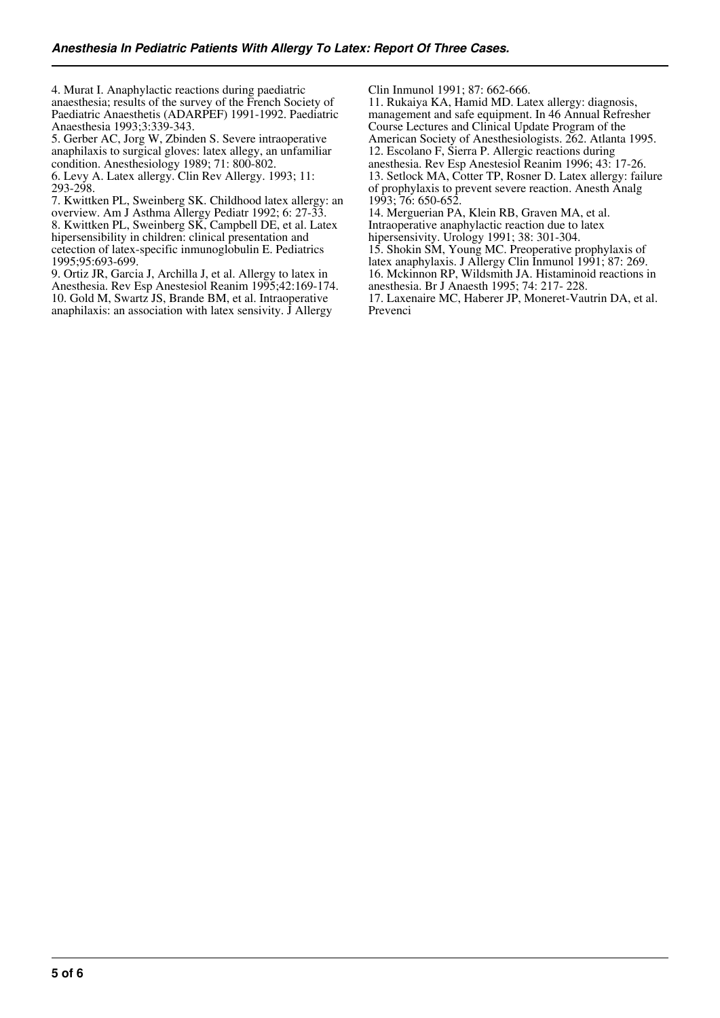4. Murat I. Anaphylactic reactions during paediatric anaesthesia; results of the survey of the French Society of Paediatric Anaesthetis (ADARPEF) 1991-1992. Paediatric Anaesthesia 1993;3:339-343.

5. Gerber AC, Jorg W, Zbinden S. Severe intraoperative anaphilaxis to surgical gloves: latex allegy, an unfamiliar condition. Anesthesiology 1989; 71: 800-802. 6. Levy A. Latex allergy. Clin Rev Allergy. 1993; 11: 293-298.

7. Kwittken PL, Sweinberg SK. Childhood latex allergy: an overview. Am J Asthma Allergy Pediatr 1992; 6: 27-33. 8. Kwittken PL, Sweinberg SK, Campbell DE, et al. Latex hipersensibility in children: clinical presentation and cetection of latex-specific inmunoglobulin E. Pediatrics 1995;95:693-699.

9. Ortiz JR, Garcia J, Archilla J, et al. Allergy to latex in Anesthesia. Rev Esp Anestesiol Reanim 1995;42:169-174. 10. Gold M, Swartz JS, Brande BM, et al. Intraoperative anaphilaxis: an association with latex sensivity. J Allergy

Clin Inmunol 1991; 87: 662-666.

11. Rukaiya KA, Hamid MD. Latex allergy: diagnosis, management and safe equipment. In 46 Annual Refresher Course Lectures and Clinical Update Program of the American Society of Anesthesiologists. 262. Atlanta 1995. 12. Escolano F, Sierra P. Allergic reactions during anesthesia. Rev Esp Anestesiol Reanim 1996; 43: 17-26. 13. Setlock MA, Cotter TP, Rosner D. Latex allergy: failure of prophylaxis to prevent severe reaction. Anesth Analg 1993; 76: 650-652.

14. Merguerian PA, Klein RB, Graven MA, et al. Intraoperative anaphylactic reaction due to latex

hipersensivity. Urology 1991; 38: 301-304.

15. Shokin SM, Young MC. Preoperative prophylaxis of

latex anaphylaxis. J Allergy Clin Inmunol 1991; 87: 269.

16. Mckinnon RP, Wildsmith JA. Histaminoid reactions in anesthesia. Br J Anaesth 1995; 74: 217- 228.

17. Laxenaire MC, Haberer JP, Moneret-Vautrin DA, et al. Prevenci